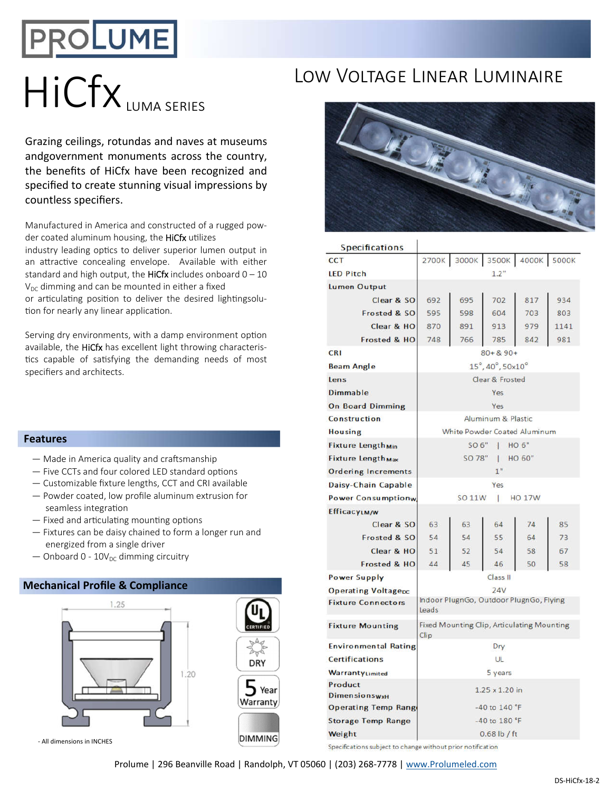## PROLUME

# HICFX IUMA SFRIES LOW VOLTAGE LINEAR LUMINAIRE

Grazing ceilings, rotundas and naves at museums andgovernment monuments across the country, the benefits of HiCfx have been recognized and specified to create stunning visual impressions by countless specifiers.

Manufactured in America and constructed of a rugged powder coated aluminum housing, the HiCfx utilizes

industry leading optics to deliver superior lumen output in an attractive concealing envelope. Available with either standard and high output, the HiCfx includes onboard  $0 - 10$  $V_{DC}$  dimming and can be mounted in either a fixed or articulating position to deliver the desired lightingsolution for nearly any linear application.

Serving dry environments, with a damp environment option available, the HiCfx has excellent light throwing characteristics capable of satisfying the demanding needs of most specifiers and architects.

## **Features**

- $-$  Made in America quality and craftsmanship
- $-$  Five CCTs and four colored LED standard options
- Customizable fixture lengths, CCT and CRI available
- Powder coated, low profile aluminum extrusion for seamless integration
- $-$  Fixed and articulating mounting options
- Fixtures can be daisy chained to form a longer run and energized from a single driver
- $-$  Onboard 0 10V<sub>DC</sub> dimming circuitry

## **Mechanical Profile & Compliance**



### - All dimensions in INCHES



| <b>Specifications</b>               |                                                    |     |     |                         |      |
|-------------------------------------|----------------------------------------------------|-----|-----|-------------------------|------|
| <b>CCT</b>                          | 2700K                                              |     |     | 3000K 3500K 4000K 5000K |      |
| <b>LED Pitch</b>                    | 1.2"                                               |     |     |                         |      |
| Lumen Output                        |                                                    |     |     |                         |      |
| Clear & SO                          | 692                                                | 695 | 702 | 817                     | 934  |
| Frosted & SO                        | 595                                                | 598 | 604 | 703                     | 803  |
| Clear & HO                          | 870                                                | 891 | 913 | 979                     | 1141 |
| Frosted & HO                        | 748                                                | 766 | 785 | 842                     | 981  |
| <b>CRI</b>                          | $80 + 8.90 +$                                      |     |     |                         |      |
| <b>Beam Angle</b>                   | 15°, 40°, 50x10°                                   |     |     |                         |      |
| Lens                                | Clear & Frosted                                    |     |     |                         |      |
| Dimmable                            | Yes                                                |     |     |                         |      |
| <b>On Board Dimming</b>             | Yes                                                |     |     |                         |      |
| Construction                        | Aluminum & Plastic                                 |     |     |                         |      |
| <b>Housing</b>                      | <b>White Powder Coated Aluminum</b>                |     |     |                         |      |
| <b>Fixture Length<sub>Min</sub></b> | SO 6"   HO 6"                                      |     |     |                         |      |
| Fixture Length <sub>Max</sub>       | SO 78"<br>1 HO 60"                                 |     |     |                         |      |
| <b>Ordering Increments</b>          | 1"                                                 |     |     |                         |      |
| Daisy-Chain Capable                 | Yes                                                |     |     |                         |      |
| <b>Power Consumptionw</b>           | <b>SO 11W</b><br>L.<br><b>HO 17W</b>               |     |     |                         |      |
| <b>EfficacyLM/W</b>                 |                                                    |     |     |                         |      |
| Clear & SO                          | 63                                                 | 63  | 64  | 74                      | 85   |
| Frosted & SO                        | 54                                                 | 54  | 55  | 64                      | 73   |
| Clear & HO                          | 51                                                 | 52  | 54  | 58                      | 67   |
| Frosted & HO                        | 44                                                 | 45  | 46  | 50                      | 58   |
| <b>Power Supply</b>                 | Class II                                           |     |     |                         |      |
| <b>Operating Voltagepc</b>          | 24V                                                |     |     |                         |      |
| <b>Fixture Connectors</b>           | Indoor PlugnGo, Outdoor PlugnGo, Flying<br>Leads   |     |     |                         |      |
| <b>Fixture Mounting</b>             | Fixed Mounting Clip, Articulating Mounting<br>Clip |     |     |                         |      |
| <b>Environmental Rating</b>         | Dry                                                |     |     |                         |      |
| <b>Certifications</b>               | UL                                                 |     |     |                         |      |
| WarrantyLimited                     | 5 years                                            |     |     |                         |      |
| Product<br><b>Dimensionswx</b> H    | 1.25 x 1.20 in                                     |     |     |                         |      |
| <b>Operating Temp Range</b>         | -40 to 140 °F                                      |     |     |                         |      |
| <b>Storage Temp Range</b>           | -40 to 180 °F                                      |     |     |                         |      |
| Weight                              | $0.68$ lb / ft                                     |     |     |                         |      |
|                                     |                                                    |     |     |                         |      |

Specifications subject to change without prior notification

Prolume | 296 Beanville Road | Randolph, VT 05060 | (203) 268-7778 | www.Prolumeled.com